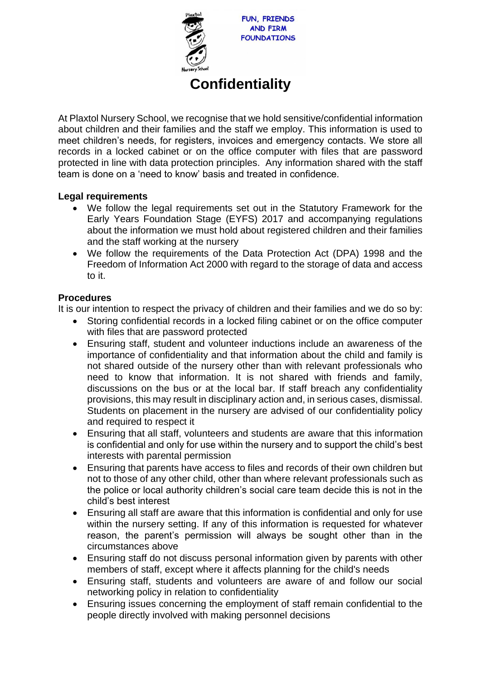

**AND FIRM FOUNDATIONS** 

# **Confidentiality**

At Plaxtol Nursery School, we recognise that we hold sensitive/confidential information about children and their families and the staff we employ. This information is used to meet children's needs, for registers, invoices and emergency contacts. We store all records in a locked cabinet or on the office computer with files that are password protected in line with data protection principles. Any information shared with the staff team is done on a 'need to know' basis and treated in confidence.

## **Legal requirements**

- We follow the legal requirements set out in the Statutory Framework for the Early Years Foundation Stage (EYFS) 2017 and accompanying regulations about the information we must hold about registered children and their families and the staff working at the nursery
- We follow the requirements of the Data Protection Act (DPA) 1998 and the Freedom of Information Act 2000 with regard to the storage of data and access to it.

### **Procedures**

It is our intention to respect the privacy of children and their families and we do so by:

- Storing confidential records in a locked filing cabinet or on the office computer with files that are password protected
- Ensuring staff, student and volunteer inductions include an awareness of the importance of confidentiality and that information about the child and family is not shared outside of the nursery other than with relevant professionals who need to know that information. It is not shared with friends and family, discussions on the bus or at the local bar. If staff breach any confidentiality provisions, this may result in disciplinary action and, in serious cases, dismissal. Students on placement in the nursery are advised of our confidentiality policy and required to respect it
- Ensuring that all staff, volunteers and students are aware that this information is confidential and only for use within the nursery and to support the child's best interests with parental permission
- Ensuring that parents have access to files and records of their own children but not to those of any other child, other than where relevant professionals such as the police or local authority children's social care team decide this is not in the child's best interest
- Ensuring all staff are aware that this information is confidential and only for use within the nursery setting. If any of this information is requested for whatever reason, the parent's permission will always be sought other than in the circumstances above
- Ensuring staff do not discuss personal information given by parents with other members of staff, except where it affects planning for the child's needs
- Ensuring staff, students and volunteers are aware of and follow our social networking policy in relation to confidentiality
- Ensuring issues concerning the employment of staff remain confidential to the people directly involved with making personnel decisions